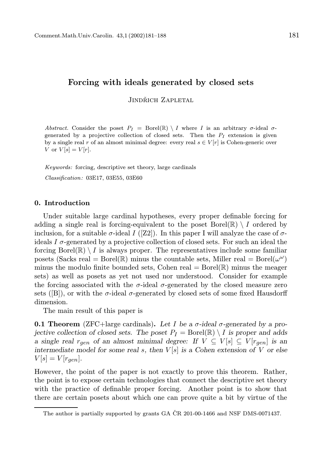# Forcing with ideals generated by closed sets

JINDŘICH ZAPLETAL

Abstract. Consider the poset  $P_I = \text{Borel}(\mathbb{R}) \setminus I$  where I is an arbitrary  $\sigma$ -ideal  $\sigma$ generated by a projective collection of closed sets. Then the  $P_I$  extension is given by a single real r of an almost minimal degree: every real  $s \in V[r]$  is Cohen-generic over V or  $V[s] = V[r]$ .

Keywords: forcing, descriptive set theory, large cardinals Classification: 03E17, 03E55, 03E60

### 0. Introduction

Under suitable large cardinal hypotheses, every proper definable forcing for adding a single real is forcing-equivalent to the poset Borel( $\mathbb{R}\setminus I$  ordered by inclusion, for a suitable  $\sigma$ -ideal I ([Z2]). In this paper I will analyze the case of  $\sigma$ ideals I  $\sigma$ -generated by a projective collection of closed sets. For such an ideal the forcing Borel( $\mathbb{R}$ ) \ I is always proper. The representatives include some familiar posets (Sacks real = Borel( $\mathbb{R}$ ) minus the countable sets, Miller real = Borel( $\omega^{\omega}$ ) minus the modulo finite bounded sets, Cohen real  $=$  Borel( $\mathbb{R}$ ) minus the meager sets) as well as posets as yet not used nor understood. Consider for example the forcing associated with the  $\sigma$ -ideal  $\sigma$ -generated by the closed measure zero sets ([B]), or with the  $\sigma$ -ideal  $\sigma$ -generated by closed sets of some fixed Hausdorff dimension.

The main result of this paper is

**0.1 Theorem** (ZFC+large cardinals). Let I be a  $\sigma$ -ideal  $\sigma$ -generated by a projective collection of closed sets. The poset  $P_I = \text{Borel}(\mathbb{R}) \setminus I$  is proper and adds a single real  $r_{gen}$  of an almost minimal degree: If  $V \subseteq V[s] \subseteq V[r_{gen}]$  is an intermediate model for some real s, then  $V[s]$  is a Cohen extension of V or else  $V[s] = V[r_{gen}].$ 

However, the point of the paper is not exactly to prove this theorem. Rather, the point is to expose certain technologies that connect the descriptive set theory with the practice of definable proper forcing. Another point is to show that there are certain posets about which one can prove quite a bit by virtue of the

The author is partially supported by grants GA  $\text{\r{CR}}$  201-00-1466 and NSF DMS-0071437.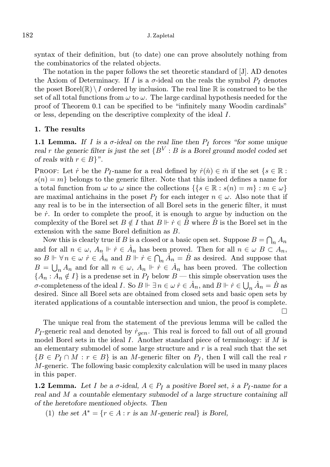syntax of their definition, but (to date) one can prove absolutely nothing from the combinatorics of the related objects.

The notation in the paper follows the set theoretic standard of [J]. AD denotes the Axiom of Determinacy. If I is a  $\sigma$ -ideal on the reals the symbol  $P_I$  denotes the poset  $Borel(\mathbb{R}) \setminus I$  ordered by inclusion. The real line  $\mathbb R$  is construed to be the set of all total functions from  $\omega$  to  $\omega$ . The large cardinal hypothesis needed for the proof of Theorem 0.1 can be specified to be "infinitely many Woodin cardinals" or less, depending on the descriptive complexity of the ideal I.

## 1. The results

**1.1 Lemma.** If I is a  $\sigma$ -ideal on the real line then  $P_I$  forces "for some unique real r the generic filter is just the set  $\{B^V : B$  is a Borel ground model coded set of reals with  $r \in B$ <sup>"</sup>.

PROOF: Let  $\dot{r}$  be the  $P_I$ -name for a real defined by  $\dot{r}(\check{n}) \in \check{m}$  if the set  $\{s \in \mathbb{R} :$  $s(n) = m$  belongs to the generic filter. Note that this indeed defines a name for a total function from  $\omega$  to  $\omega$  since the collections  $\{ \{ s \in \mathbb{R} : s(n) = m \} : m \in \omega \}$ are maximal antichains in the poset  $P_I$  for each integer  $n \in \omega$ . Also note that if any real is to be in the intersection of all Borel sets in the generic filter, it must be  $\dot{r}$ . In order to complete the proof, it is enough to argue by induction on the complexity of the Borel set  $B \notin I$  that  $B \Vdash \dot{r} \in \dot{B}$  where  $\dot{B}$  is the Borel set in the extension with the same Borel definition as B.

Now this is clearly true if B is a closed or a basic open set. Suppose  $B = \bigcap_n A_n$ and for all  $n \in \omega$ ,  $A_n \Vdash \dot{r} \in \dot{A}_n$  has been proved. Then for all  $n \in \omega$   $B \subset A_n$ , so  $B \Vdash \forall n \in \omega \; \dot{r} \in \dot{A}_n$  and  $B \Vdash \dot{r} \in \bigcap_n \dot{A}_n = \dot{B}$  as desired. And suppose that  $B = \bigcup_n A_n$  and for all  $n \in \omega$ ,  $A_n \Vdash \dot{r} \in \dot{A}_n$  has been proved. The collection  ${A_n : A_n \notin I}$  is a predense set in  $P_I$  below  $B$  — this simple observation uses the *σ*-completeness of the ideal *I*. So  $B \Vdash \exists n \in \omega \; \dot{r} \in \dot{A}_n$ , and  $B \Vdash \dot{r} \in \bigcup_n \dot{A}_n = \dot{B}$  as desired. Since all Borel sets are obtained from closed sets and basic open sets by iterated applications of a countable intersection and union, the proof is complete.  $\Box$ 

The unique real from the statement of the previous lemma will be called the  $P_I$ -generic real and denoted by  $r_{gen}$ . This real is forced to fall out of all ground model Borel sets in the ideal I. Another standard piece of terminology: if  $M$  is an elementary submodel of some large structure and  $r$  is a real such that the set  ${B \in P_I \cap M : r \in B}$  is an *M*-generic filter on  $P_I$ , then I will call the real r M-generic. The following basic complexity calculation will be used in many places in this paper.

**1.2 Lemma.** Let *I* be a  $\sigma$ -ideal,  $A \in P_I$  a positive Borel set, *i* a  $P_I$ -name for a real and M a countable elementary submodel of a large structure containing all of the heretofore mentioned objects. Then

(1) the set  $A^* = \{r \in A : r \text{ is an } M \text{-generic real} \}$  is Borel,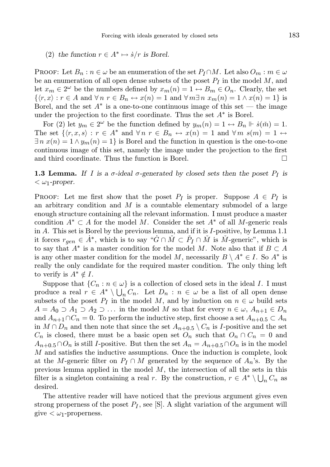(2) the function  $r \in A^* \mapsto \dot{s}/r$  is Borel.

**PROOF:** Let  $B_n : n \in \omega$  be an enumeration of the set  $P_I \cap M$ . Let also  $O_m : m \in \omega$ be an enumeration of all open dense subsets of the poset  $P_I$  in the model  $M$ , and let  $x_m \in 2^{\omega}$  be the numbers defined by  $x_m(n) = 1 \leftrightarrow B_m \in O_n$ . Clearly, the set  $\{\langle r, x \rangle : r \in A \text{ and } \forall n \ r \in B_n \leftrightarrow x(n) = 1 \text{ and } \forall m \exists n \ x_m(n) = 1 \land x(n) = 1\}$  is Borel, and the set  $A^*$  is a one-to-one continuous image of this set — the image under the projection to the first coordinate. Thus the set  $A^*$  is Borel.

For (2) let  $y_m \in 2^{\omega}$  be the function defined by  $y_m(n) = 1 \leftrightarrow B_n \Vdash \dot{s}(\check{m}) = 1$ . The set  $\{r, x, s\} : r \in A^*$  and  $\forall n \ r \in B_n \leftrightarrow x(n) = 1$  and  $\forall m \ s(m) = 1 \leftrightarrow$  $\exists n \; x(n) = 1 \land y_m(n) = 1$  is Borel and the function in question is the one-to-one continuous image of this set, namely the image under the projection to the first and third coordinate. Thus the function is Borel.  $\Box$ 

**1.3 Lemma.** If I is a  $\sigma$ -ideal  $\sigma$ -generated by closed sets then the poset  $P_I$  is  $<\omega_1$ -proper.

PROOF: Let me first show that the poset  $P_I$  is proper. Suppose  $A \in P_I$  is an arbitrary condition and  $M$  is a countable elementary submodel of a large enough structure containing all the relevant information. I must produce a master condition  $A^* \subset A$  for the model M. Consider the set  $A^*$  of all M-generic reals in A. This set is Borel by the previous lemma, and if it is I-positive, by Lemma 1.1 it forces  $r_{gen} \in \dot{A}^*$ , which is to say " $\dot{G} \cap \check{M} \subset \check{P}_I \cap \check{M}$  is  $\check{M}$ -generic", which is to say that  $A^*$  is a master condition for the model M. Note also that if  $B \subset A$ is any other master condition for the model M, necessarily  $B \setminus A^* \in I$ . So  $A^*$  is really the only candidate for the required master condition. The only thing left to verify is  $A^* \notin I$ .

Suppose that  $\{C_n : n \in \omega\}$  is a collection of closed sets in the ideal I. I must produce a real  $r \in A^* \setminus \bigcup_n C_n$ . Let  $D_n : n \in \omega$  be a list of all open dense subsets of the poset  $P_I$  in the model M, and by induction on  $n \in \omega$  build sets  $A = A_0 \supset A_1 \supset A_2 \supset \ldots$  in the model M so that for every  $n \in \omega, A_{n+1} \in D_n$ and  $A_{n+1}\cap C_n=0$ . To perform the inductive step, first choose a set  $A_{n+0.5}\subset A_n$ in  $M \cap D_n$  and then note that since the set  $A_{n+0.5} \setminus C_n$  is I-positive and the set  $C_n$  is closed, there must be a basic open set  $O_n$  such that  $O_n \cap C_n = 0$  and  $A_{n+0.5} \cap O_n$  is still I-positive. But then the set  $A_n = A_{n+0.5} \cap O_n$  is in the model M and satisfies the inductive assumptions. Once the induction is complete, look at the M-generic filter on  $P_I \cap M$  generated by the sequence of  $A_n$ 's. By the previous lemma applied in the model  $M$ , the intersection of all the sets in this filter is a singleton containing a real r. By the construction,  $r \in A^* \setminus \bigcup_n C_n$  as desired.

The attentive reader will have noticed that the previous argument gives even strong properness of the poset  $P_I$ , see [S]. A slight variation of the argument will give  $\langle \omega_1$ -properness.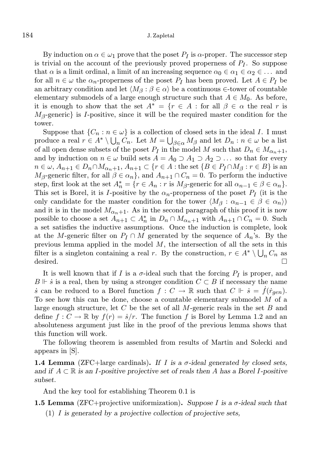#### 184 J. Zapletal

By induction on  $\alpha \in \omega_1$  prove that the poset  $P_I$  is  $\alpha$ -proper. The successor step is trivial on the account of the previously proved properness of  $P_I$ . So suppose that  $\alpha$  is a limit ordinal, a limit of an increasing sequence  $\alpha_0 \in \alpha_1 \in \alpha_2 \in \dots$  and for all  $n \in \omega$  the  $\alpha_n$ -properness of the poset  $P_I$  has been proved. Let  $A \in P_I$  be an arbitrary condition and let  $\langle M_\beta : \beta \in \alpha \rangle$  be a continuous ∈-tower of countable elementary submodels of a large enough structure such that  $A \in M_0$ . As before, it is enough to show that the set  $A^* = \{r \in A : \text{for all } \beta \in \alpha \text{ the real } r \text{ is }$  $M_{\beta}$ -generic} is I-positive, since it will be the required master condition for the tower.

Suppose that  $\{C_n : n \in \omega\}$  is a collection of closed sets in the ideal I. I must produce a real  $r \in A^* \setminus \bigcup_n C_n$ . Let  $M = \bigcup_{\beta \in \alpha} M_\beta$  and let  $D_n : n \in \omega$  be a list of all open dense subsets of the poset  $P_I$  in the model M such that  $D_n \in M_{\alpha_n+1}$ , and by induction on  $n \in \omega$  build sets  $A = A_0 \supset A_1 \supset A_2 \supset \dots$  so that for every  $n \in \omega$ ,  $A_{n+1} \in D_n \cap M_{\alpha_n+1}$ ,  $A_{n+1} \subset \{r \in A : \text{the set } \{B \in P_I \cap M_B : r \in B\} \text{ is an }$  $M_{\beta}$ -generic filter, for all  $\beta \in \alpha_n$ , and  $A_{n+1} \cap C_n = 0$ . To perform the inductive step, first look at the set  $A_n^* = \{r \in A_n : r \text{ is } M_{\beta}$ -generic for all  $\alpha_{n-1} \in \beta \in \alpha_n\}.$ This set is Borel, it is *I*-positive by the  $\alpha_n$ -properness of the poset  $P_I$  (it is the only candidate for the master condition for the tower  $\langle M_\beta : \alpha_{n-1} \in \beta \in \alpha_n \rangle$ and it is in the model  $M_{\alpha_n+1}$ . As in the second paragraph of this proof it is now possible to choose a set  $A_{n+1} \subset A_n^*$  in  $D_n \cap M_{\alpha_n+1}$  with  $A_{n+1} \cap C_n = 0$ . Such a set satisfies the inductive assumptions. Once the induction is complete, look at the M-generic filter on  $P_I \cap M$  generated by the sequence of  $A_n$ 's. By the previous lemma applied in the model M, the intersection of all the sets in this filter is a singleton containing a real r. By the construction,  $r \in A^* \setminus \bigcup_n C_n$  as desired.  $\Box$ 

It is well known that if I is a  $\sigma$ -ideal such that the forcing  $P_I$  is proper, and  $B \Vdash \dot{s}$  is a real, then by using a stronger condition  $C \subset B$  if necessary the name s can be reduced to a Borel function  $f: C \to \mathbb{R}$  such that  $C \Vdash s = f(\dot{r}_{gen}).$ To see how this can be done, choose a countable elementary submodel  $M$  of a large enough structure, let  $C$  be the set of all  $M$ -generic reals in the set  $B$  and define  $f: C \to \mathbb{R}$  by  $f(r) = \frac{s}{r}$ . The function f is Borel by Lemma 1.2 and an absoluteness argument just like in the proof of the previous lemma shows that this function will work.

The following theorem is assembled from results of Martin and Solecki and appears in [S].

**1.4 Lemma** (ZFC+large cardinals). If I is a  $\sigma$ -ideal generated by closed sets, and if  $A \subset \mathbb{R}$  is an I-positive projective set of reals then A has a Borel I-positive subset.

And the key tool for establishing Theorem 0.1 is

**1.5 Lemma** (ZFC+projective uniformization). Suppose I is a  $\sigma$ -ideal such that (1) I is generated by a projective collection of projective sets,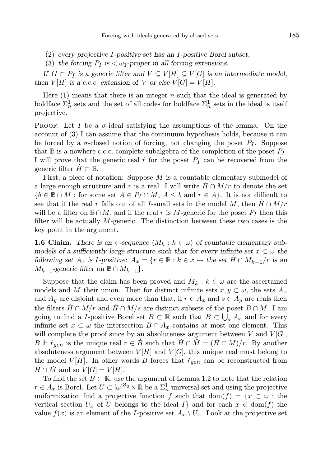- (2) every projective I-positive set has an I-positive Borel subset,
- (3) the forcing  $P_I$  is  $\lt \omega_1$ -proper in all forcing extensions.

If  $G \subset P_I$  is a generic filter and  $V \subseteq V[H] \subseteq V[G]$  is an intermediate model, then  $V[H]$  is a c.c.c. extension of V or else  $V[G] = V[H]$ .

Here  $(1)$  means that there is an integer n such that the ideal is generated by boldface  $\Sigma_n^1$  sets and the set of all codes for boldface  $\Sigma_n^1$  sets in the ideal is itself projective.

**PROOF:** Let I be a  $\sigma$ -ideal satisfying the assumptions of the lemma. On the account of (3) I can assume that the continuum hypothesis holds, because it can be forced by a  $\sigma$ -closed notion of forcing, not changing the poset  $P_I$ . Suppose that  $\mathbb B$  is a nowhere c.c.c. complete subalgebra of the completion of the poset  $P_I$ . I will prove that the generic real  $\dot{r}$  for the poset  $P_I$  can be recovered from the generic filter  $H \subset \mathbb{B}$ .

First, a piece of notation: Suppose  $M$  is a countable elementary submodel of a large enough structure and r is a real. I will write  $H \cap M/r$  to denote the set  ${b \in \mathbb{B} \cap M : \text{for some set } A \in P_I \cap M, A \leq b \text{ and } r \in A}$ . It is not difficult to see that if the real r falls out of all I-small sets in the model M, then  $H \cap M/r$ will be a filter on  $\mathbb{B} \cap M$ , and if the real r is M-generic for the poset  $P_I$  then this filter will be actually M-generic. The distinction between these two cases is the key point in the argument.

**1.6 Claim.** There is an  $\in$ -sequence  $\langle M_k : k \in \omega \rangle$  of countable elementary submodels of a sufficiently large structure such that for every infinite set  $x \subset \omega$  the following set  $A_x$  is I-positive:  $A_x = \{r \in \mathbb{R} : k \in x \leftrightarrow \text{the set } H \cap M_{k+1}/r \text{ is an }$  $M_{k+1}$ -generic filter on  $\mathbb{B} \cap M_{k+1}$ .

Suppose that the claim has been proved and  $M_k : k \in \omega$  are the ascertained models and M their union. Then for distinct infinite sets  $x, y \subset \omega$ , the sets  $A_x$ and  $A_y$  are disjoint and even more than that, if  $r \in A_x$  and  $s \in A_y$  are reals then the filters  $H \cap M/r$  and  $H \cap M/s$  are distinct subsets of the poset  $B \cap M$ . I am going to find a *I*-positive Borel set  $B \subset \mathbb{R}$  such that  $B \subset \bigcup_x A_x$  and for every infinite set  $x \subset \omega$  the intersection  $B \cap A_x$  contains at most one element. This will complete the proof since by an absoluteness argument between V and  $V[G]$ ,  $B \Vdash \dot{r}_{gen}$  is the unique real  $r \in B$  such that  $H \cap \dot{M} = (H \cap M)/r$ . By another absoluteness argument between  $V[H]$  and  $V[G]$ , this unique real must belong to the model  $V[H]$ . In other words B forces that  $\dot{r}_{gen}$  can be reconstructed from  $H \cap M$  and so  $V[G] = V[H]$ .

To find the set  $B \subset \mathbb{R}$ , use the argument of Lemma 1.2 to note that the relation  $r \in A_x$  is Borel. Let  $U \subset [\omega]^{\aleph_0} \times \mathbb{R}$  be a  $\Sigma_n^1$  universal set and using the projective uniformization find a projective function f such that dom(f) =  $\{x \subset \omega :$  the vertical section  $U_x$  of U belongs to the ideal I and for each  $x \in \text{dom}(f)$  the value  $f(x)$  is an element of the I-positive set  $A_x \setminus U_x$ . Look at the projective set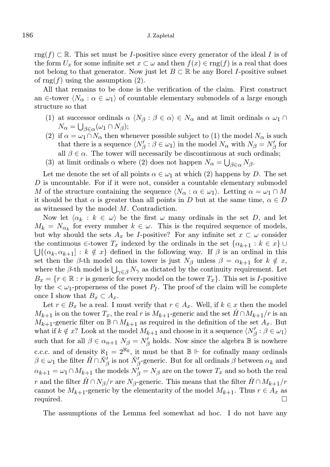rng $(f) \subset \mathbb{R}$ . This set must be *I*-positive since every generator of the ideal *I* is of the form  $U_x$  for some infinite set  $x \subset \omega$  and then  $f(x) \in \text{rng}(f)$  is a real that does not belong to that generator. Now just let  $B \subset \mathbb{R}$  be any Borel I-positive subset of rng $(f)$  using the assumption  $(2)$ .

All that remains to be done is the verification of the claim. First construct an  $\in$ -tower  $\langle N_{\alpha} : \alpha \in \omega_1 \rangle$  of countable elementary submodels of a large enough structure so that

- (1) at successor ordinals  $\alpha \langle N_\beta : \beta \in \alpha \rangle \in N_\alpha$  and at limit ordinals  $\alpha \omega_1 \cap$  $N_{\alpha} = \bigcup_{\beta \in \alpha} (\omega_1 \cap N_{\beta});$
- (2) if  $\alpha = \omega_1 \cap N_\alpha$  then whenever possible subject to (1) the model  $N_\alpha$  is such that there is a sequence  $\langle N'_{\beta} : \beta \in \omega_1 \rangle$  in the model  $N_{\alpha}$  with  $N_{\beta} = N'_{\beta}$  for all  $\beta \in \alpha$ . The tower will necessarily be discontinuous at such ordinals;
- (3) at limit ordinals  $\alpha$  where (2) does not happen  $N_{\alpha} = \bigcup_{\beta \in \alpha} N_{\beta}$ .

Let me denote the set of all points  $\alpha \in \omega_1$  at which (2) happens by D. The set  $D$  is uncountable. For if it were not, consider a countable elementary submodel M of the structure containing the sequence  $\langle N_{\alpha} : \alpha \in \omega_1 \rangle$ . Letting  $\alpha = \omega_1 \cap M$ it should be that  $\alpha$  is greater than all points in D but at the same time,  $\alpha \in D$ as witnessed by the model M. Contradiction.

Now let  $\langle \alpha_k : k \in \omega \rangle$  be the first  $\omega$  many ordinals in the set D, and let  $M_k = N_{\alpha_k}$  for every number  $k \in \omega$ . This is the required sequence of models, but why should the sets  $A_x$  be I-positive? For any infinite set  $x \subset \omega$  consider the continuous  $\in$ -tower  $T_x$  indexed by the ordinals in the set  $\{\alpha_{k+1}: k \in x\}$  $\bigcup \{(\alpha_k, \alpha_{k+1}] : k \notin x\}$  defined in the following way. If  $\beta$  is an ordinal in this set then the β-th model on this tower is just  $N_\beta$  unless  $\beta = \alpha_{k+1}$  for  $k \notin x$ , where the  $\beta$ -th model is  $\bigcup_{\gamma \in \beta} N_{\gamma}$  as dictated by the continuity requirement. Let  $B_x = \{r \in \mathbb{R} : r \text{ is generic for every model on the tower } T_x\}.$  This set is I-positive by the  $\langle \omega_1$ -properness of the poset  $P_I$ . The proof of the claim will be complete once I show that  $B_x \subset A_x$ .

Let  $r \in B_x$  be a real. I must verify that  $r \in A_x$ . Well, if  $k \in x$  then the model  $M_{k+1}$  is on the tower  $T_x$ , the real r is  $M_{k+1}$ -generic and the set  $H \cap M_{k+1}/r$  is an  $M_{k+1}$ -generic filter on  $\mathbb{B} \cap M_{k+1}$  as required in the definition of the set  $A_x$ . But what if  $k \notin x$ ? Look at the model  $M_{k+1}$  and choose in it a sequence  $\langle N'_\beta : \beta \in \omega_1 \rangle$ such that for all  $\beta \in \alpha_{n+1}$   $N_{\beta} = N'_{\beta}$  holds. Now since the algebra  $\mathbb{B}$  is nowhere c.c.c. and of density  $\aleph_1 = 2^{\aleph_0}$ , it must be that  $\mathbb{B} \Vdash$  for cofinally many ordinals  $\beta \in \omega_1$  the filter  $\dot{H} \cap \check{N}'_{\beta}$  is not  $\check{N}'_{\beta}$ -generic. But for all ordinals  $\beta$  between  $\alpha_k$  and  $\alpha_{k+1} = \omega_1 \cap M_{k+1}$  the models  $N'_{\beta} = N_{\beta}$  are on the tower  $T_x$  and so both the real r and the filter  $H \cap N_{\beta}/r$  are  $N_{\beta}$ -generic. This means that the filter  $H \cap M_{k+1}/r$ cannot be  $M_{k+1}$ -generic by the elementarity of the model  $M_{k+1}$ . Thus  $r \in A_x$  as required.

The assumptions of the Lemma feel somewhat ad hoc. I do not have any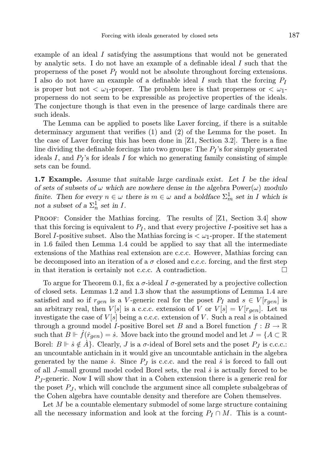example of an ideal  $I$  satisfying the assumptions that would not be generated by analytic sets. I do not have an example of a definable ideal I such that the properness of the poset  $P_I$  would not be absolute throughout forcing extensions. I also do not have an example of a definable ideal I such that the forcing  $P_I$ is proper but not  $\langle \omega_1$ -proper. The problem here is that properness or  $\langle \omega_1$ properness do not seem to be expressible as projective properties of the ideals. The conjecture though is that even in the presence of large cardinals there are such ideals.

The Lemma can be applied to posets like Laver forcing, if there is a suitable determinacy argument that verifies (1) and (2) of the Lemma for the poset. In the case of Laver forcing this has been done in [Z1, Section 3.2]. There is a fine line dividing the definable forcings into two groups: The  $P_I$ 's for simply generated ideals  $I$ , and  $P_I$ 's for ideals  $I$  for which no generating family consisting of simple sets can be found.

**1.7 Example.** Assume that suitable large cardinals exist. Let I be the ideal of sets of subsets of  $\omega$  which are nowhere dense in the algebra Power( $\omega$ ) modulo finite. Then for every  $n \in \omega$  there is  $m \in \omega$  and a boldface  $\Sigma_m^1$  set in I which is not a subset of a  $\Sigma^1_n$  set in I.

PROOF: Consider the Mathias forcing. The results of [Z1, Section 3.4] show that this forcing is equivalent to  $P_I$ , and that every projective I-positive set has a Borel I-positive subset. Also the Mathias forcing is  $\langle \omega_1$ -proper. If the statement in 1.6 failed then Lemma 1.4 could be applied to say that all the intermediate extensions of the Mathias real extension are c.c.c. However, Mathias forcing can be decomposed into an iteration of a  $\sigma$  closed and c.c.c. forcing, and the first step in that iteration is certainly not c.c.c. A contradiction.  $\Box$ 

To argue for Theorem 0.1, fix a  $\sigma$ -ideal I  $\sigma$ -generated by a projective collection of closed sets. Lemmas 1.2 and 1.3 show that the assumptions of Lemma 1.4 are satisfied and so if  $r_{gen}$  is a V-generic real for the poset  $P_I$  and  $s \in V[r_{gen}]$  is an arbitrary real, then  $V[s]$  is a c.c.c. extension of V or  $V[s] = V[r_{gen}]$ . Let us investigate the case of  $V[s]$  being a c.c.c. extension of V. Such a real s is obtained through a ground model I-positive Borel set B and a Borel function  $f : B \to \mathbb{R}$ such that  $B \Vdash f(\dot{r}_{gen}) = \dot{s}$ . Move back into the ground model and let  $J = \{A \subset \mathbb{R}$ Borel:  $B \Vdash \dot{s} \notin A$ . Clearly, J is a  $\sigma$ -ideal of Borel sets and the poset  $P_J$  is c.c.c.: an uncountable antichain in it would give an uncountable antichain in the algebra generated by the name  $\dot{s}$ . Since  $P_I$  is c.c.c. and the real  $\dot{s}$  is forced to fall out of all  $J$ -small ground model coded Borel sets, the real  $\dot{s}$  is actually forced to be  $P_J$ -generic. Now I will show that in a Cohen extension there is a generic real for the poset  $P_J$ , which will conclude the argument since all complete subalgebras of the Cohen algebra have countable density and therefore are Cohen themselves.

Let M be a countable elementary submodel of some large structure containing all the necessary information and look at the forcing  $P_I \cap M$ . This is a count